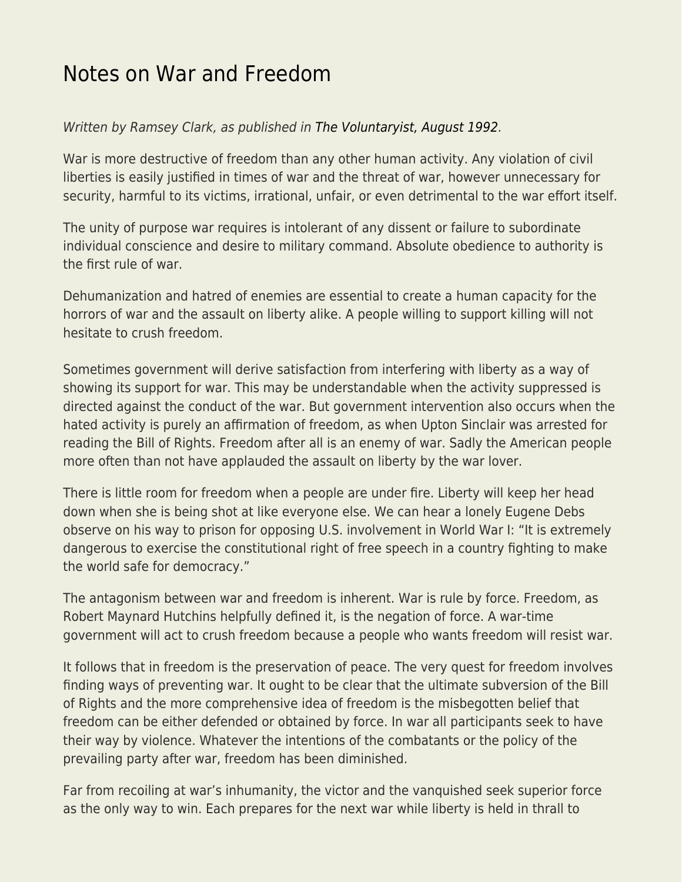## [Notes on War and Freedom](https://everything-voluntary.com/notes-on-war-and-freedom)

## Written by Ramsey Clark, as published in [The Voluntaryist, August 1992](http://voluntaryist.com/backissues/057.pdf).

War is more destructive of freedom than any other human activity. Any violation of civil liberties is easily justified in times of war and the threat of war, however unnecessary for security, harmful to its victims, irrational, unfair, or even detrimental to the war effort itself.

The unity of purpose war requires is intolerant of any dissent or failure to subordinate individual conscience and desire to military command. Absolute obedience to authority is the first rule of war.

Dehumanization and hatred of enemies are essential to create a human capacity for the horrors of war and the assault on liberty alike. A people willing to support killing will not hesitate to crush freedom.

Sometimes government will derive satisfaction from interfering with liberty as a way of showing its support for war. This may be understandable when the activity suppressed is directed against the conduct of the war. But government intervention also occurs when the hated activity is purely an affirmation of freedom, as when Upton Sinclair was arrested for reading the Bill of Rights. Freedom after all is an enemy of war. Sadly the American people more often than not have applauded the assault on liberty by the war lover.

There is little room for freedom when a people are under fire. Liberty will keep her head down when she is being shot at like everyone else. We can hear a lonely Eugene Debs observe on his way to prison for opposing U.S. involvement in World War I: "It is extremely dangerous to exercise the constitutional right of free speech in a country fighting to make the world safe for democracy."

The antagonism between war and freedom is inherent. War is rule by force. Freedom, as Robert Maynard Hutchins helpfully defined it, is the negation of force. A war-time government will act to crush freedom because a people who wants freedom will resist war.

It follows that in freedom is the preservation of peace. The very quest for freedom involves finding ways of preventing war. It ought to be clear that the ultimate subversion of the Bill of Rights and the more comprehensive idea of freedom is the misbegotten belief that freedom can be either defended or obtained by force. In war all participants seek to have their way by violence. Whatever the intentions of the combatants or the policy of the prevailing party after war, freedom has been diminished.

Far from recoiling at war's inhumanity, the victor and the vanquished seek superior force as the only way to win. Each prepares for the next war while liberty is held in thrall to